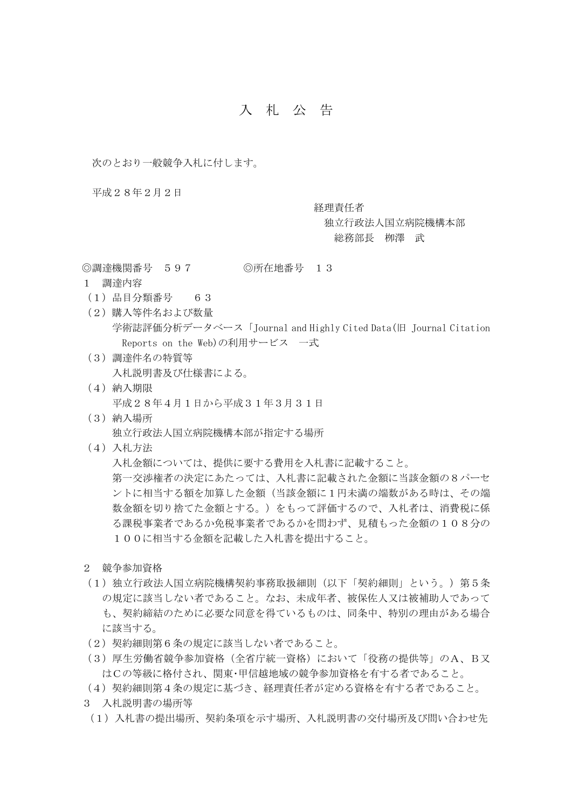## 入 札 公 告

次のとおり一般競争入札に付します。

平成28年2月2日

経理責任者

独立行政法人国立病院機構本部 総務部長 栁澤 武

◎調達機関番号 597 ◎所在地番号 13

- 1 調達内容
- (1)品目分類番号 63
- (2)購入等件名および数量 学術誌評価分析データベース「Journal and Highly Cited Data(旧 Journal Citation Reports on the Web)の利用サービス 一式
- (3)調達件名の特質等 入札説明書及び仕様書による。
- (4)納入期限 平成28年4月1日から平成31年3月31日
- (3)納入場所 独立行政法人国立病院機構本部が指定する場所
- (4)入札方法

入札金額については、提供に要する費用を入札書に記載すること。 第一交渉権者の決定にあたっては、入札書に記載された金額に当該金額の8パーセ ントに相当する額を加算した金額(当該金額に1円未満の端数がある時は、その端 数金額を切り捨てた金額とする。)をもって評価するので、入札者は、消費税に係 る課税事業者であるか免税事業者であるかを問わず、見積もった金額の108分の 100に相当する金額を記載した入札書を提出すること。

- 2 競争参加資格
- (1)独立行政法人国立病院機構契約事務取扱細則(以下「契約細則」という。)第5条 の規定に該当しない者であること。なお、未成年者、被保佐人又は被補助人であって も、契約締結のために必要な同意を得ているものは、同条中、特別の理由がある場合 に該当する。
- (2)契約細則第6条の規定に該当しない者であること。
- (3)厚生労働省競争参加資格(全省庁統一資格)において「役務の提供等」のA、B又 はCの等級に格付され、関東・甲信越地域の競争参加資格を有する者であること。
- (4)契約細則第4条の規定に基づき、経理責任者が定める資格を有する者であること。
- 3 入札説明書の場所等
- (1)入札書の提出場所、契約条項を示す場所、入札説明書の交付場所及び問い合わせ先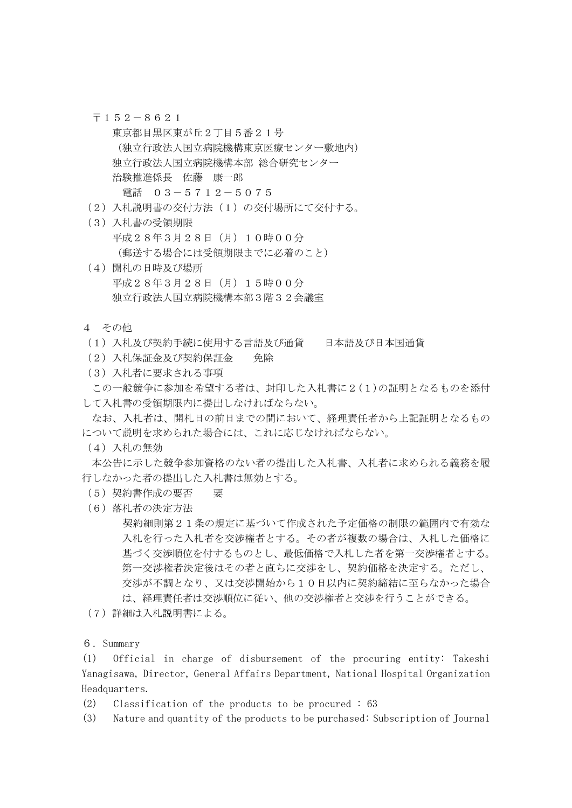- 〒152-8621
- 東京都目黒区東が丘2丁目5番21号 (独立行政法人国立病院機構東京医療センター敷地内) 独立行政法人国立病院機構本部 総合研究センター 治験推進係長 佐藤 康一郎 電話 03-5712-5075
- (2)入札説明書の交付方法(1)の交付場所にて交付する。
- (3)入札書の受領期限 平成28年3月28日(月)10時00分 (郵送する場合には受領期限までに必着のこと)
- (4)開札の日時及び場所 平成28年3月28日(月)15時00分 独立行政法人国立病院機構本部3階32会議室
- 4 その他
- (1)入札及び契約手続に使用する言語及び通貨 日本語及び日本国通貨
- (2)入札保証金及び契約保証金 免除
- (3)入札者に要求される事項

この一般競争に参加を希望する者は、封印した入札書に2(1)の証明となるものを添付 して入札書の受領期限内に提出しなければならない。

なお、入札者は、開札日の前日までの間において、経理責任者から上記証明となるもの について説明を求められた場合には、これに応じなければならない。

(4)入札の無効

本公告に示した競争参加資格のない者の提出した入札書、入札者に求められる義務を履 行しなかった者の提出した入札書は無効とする。

- (5)契約書作成の要否 要
- (6)落札者の決定方法

契約細則第21条の規定に基づいて作成された予定価格の制限の範囲内で有効な 入札を行った入札者を交渉権者とする。その者が複数の場合は、入札した価格に 基づく交渉順位を付するものとし、最低価格で入札した者を第一交渉権者とする。 第一交渉権者決定後はその者と直ちに交渉をし、契約価格を決定する。ただし、 交渉が不調となり、又は交渉開始から10日以内に契約締結に至らなかった場合 は、経理責任者は交渉順位に従い、他の交渉権者と交渉を行うことができる。

- (7)詳細は入札説明書による。
- 6.Summary

(1) Official in charge of disbursement of the procuring entity: Takeshi Yanagisawa, Director, General Affairs Department, National Hospital Organization Headquarters.

- (2) Classification of the products to be procured : 63
- (3) Nature and quantity of the products to be purchased: Subscription of Journal